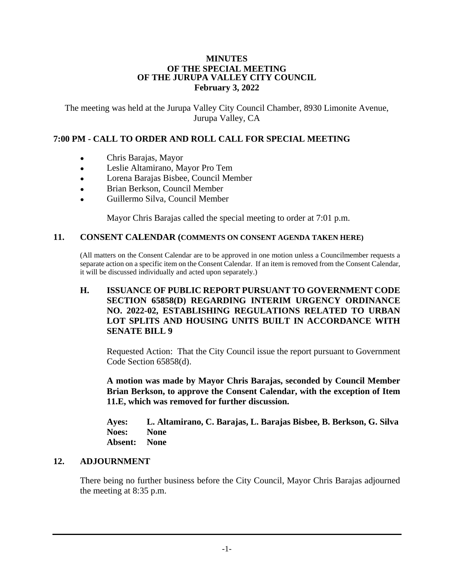#### **MINUTES OF THE SPECIAL MEETING OF THE JURUPA VALLEY CITY COUNCIL February 3, 2022**

The meeting was held at the Jurupa Valley City Council Chamber, 8930 Limonite Avenue, Jurupa Valley, CA

# **7:00 PM - CALL TO ORDER AND ROLL CALL FOR SPECIAL MEETING**

- Chris Barajas, Mayor
- Leslie Altamirano, Mayor Pro Tem
- Lorena Barajas Bisbee, Council Member
- Brian Berkson, Council Member
- Guillermo Silva, Council Member

Mayor Chris Barajas called the special meeting to order at 7:01 p.m.

#### **11. CONSENT CALENDAR (COMMENTS ON CONSENT AGENDA TAKEN HERE)**

(All matters on the Consent Calendar are to be approved in one motion unless a Councilmember requests a separate action on a specific item on the Consent Calendar. If an item is removed from the Consent Calendar, it will be discussed individually and acted upon separately.)

## **H. ISSUANCE OF PUBLIC REPORT PURSUANT TO GOVERNMENT CODE SECTION 65858(D) REGARDING INTERIM URGENCY ORDINANCE NO. 2022-02, ESTABLISHING REGULATIONS RELATED TO URBAN LOT SPLITS AND HOUSING UNITS BUILT IN ACCORDANCE WITH SENATE BILL 9**

Requested Action: That the City Council issue the report pursuant to Government Code Section 65858(d).

**A motion was made by Mayor Chris Barajas, seconded by Council Member Brian Berkson, to approve the Consent Calendar, with the exception of Item 11.E, which was removed for further discussion.**

**Ayes: L. Altamirano, C. Barajas, L. Barajas Bisbee, B. Berkson, G. Silva Noes: None Absent: None**

### **12. ADJOURNMENT**

There being no further business before the City Council, Mayor Chris Barajas adjourned the meeting at 8:35 p.m.